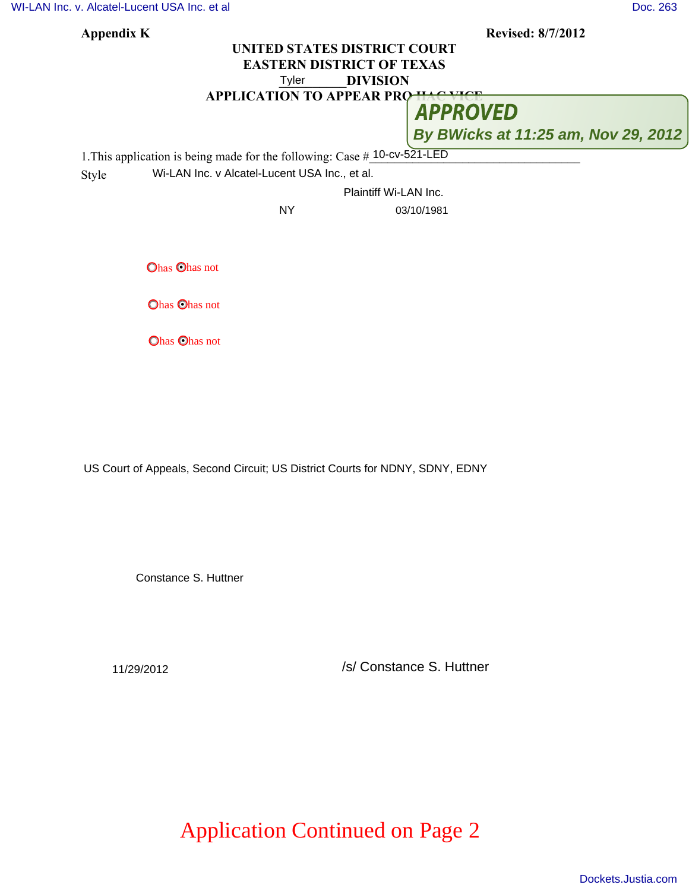[WI-LAN Inc. v. Alcatel-Lucent USA Inc. et al](http://dockets.justia.com/docket/texas/txedce/6:2010cv00521/125700/) [Doc. 263](http://docs.justia.com/cases/federal/district-courts/texas/txedce/6:2010cv00521/125700/263/)

| Appendix K                                                                | <b>Revised: 8/7/2012</b>            |
|---------------------------------------------------------------------------|-------------------------------------|
|                                                                           | UNITED STATES DISTRICT COURT        |
| <b>EASTERN DISTRICT OF TEXAS</b>                                          |                                     |
| <b>DIVISION</b><br>Tyler                                                  |                                     |
| <b>APPLICATION TO APPEAR PRO</b>                                          |                                     |
|                                                                           | <b>APPROVED</b>                     |
|                                                                           | By BWicks at 11:25 am, Nov 29, 2012 |
| 1. This application is being made for the following: Case # 10-cv-521-LED |                                     |
| Wi-LAN Inc. v Alcatel-Lucent USA Inc., et al.<br>Style                    |                                     |
|                                                                           | Plaintiff Wi-LAN Inc.               |
| <b>NY</b>                                                                 | 03/10/1981                          |
|                                                                           |                                     |
| <b>Ohas Ohas not</b>                                                      |                                     |
| <b>Ohas Ohas not</b>                                                      |                                     |
| <b>Ohas Ohas not</b>                                                      |                                     |

US Court of Appeals, Second Circuit; US District Courts for NDNY, SDNY, EDNY

Constance S. Huttner

11/29/2012 /s/ Constance S. Huttner

## Application Continued on Page 2